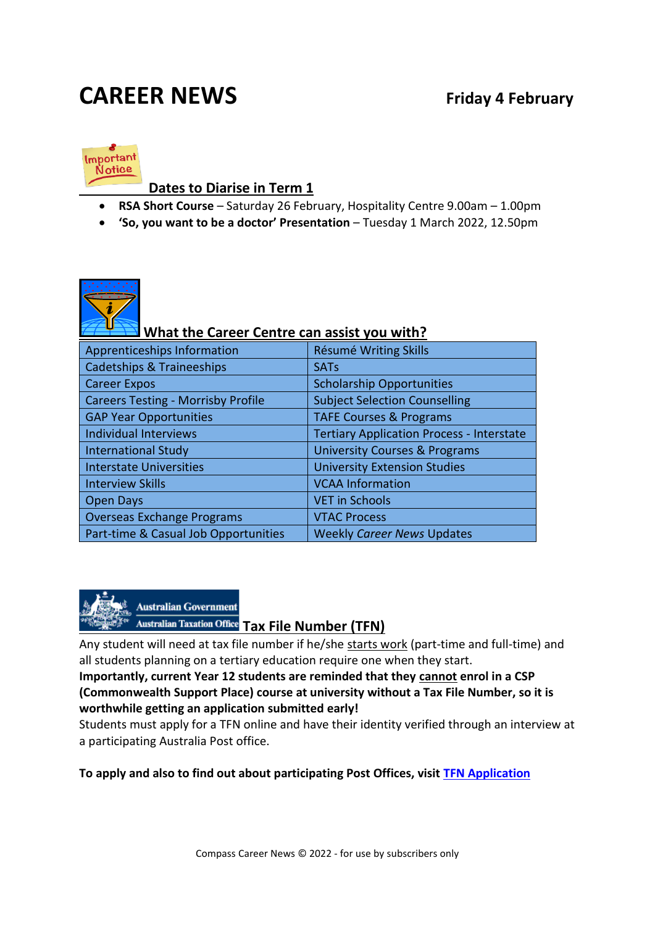# **CAREER NEWS Friday 4 February**



#### **Dates to Diarise in Term 1**

- **RSA Short Course** Saturday 26 February, Hospitality Centre 9.00am 1.00pm
- **'So, you want to be a doctor' Presentation** Tuesday 1 March 2022, 12.50pm



# **What the Career Centre can assist you with?**

| Apprenticeships Information               | <b>Résumé Writing Skills</b>                     |
|-------------------------------------------|--------------------------------------------------|
| <b>Cadetships &amp; Traineeships</b>      | <b>SATs</b>                                      |
| <b>Career Expos</b>                       | <b>Scholarship Opportunities</b>                 |
| <b>Careers Testing - Morrisby Profile</b> | <b>Subject Selection Counselling</b>             |
| <b>GAP Year Opportunities</b>             | <b>TAFE Courses &amp; Programs</b>               |
| Individual Interviews                     | <b>Tertiary Application Process - Interstate</b> |
| <b>International Study</b>                | <b>University Courses &amp; Programs</b>         |
| <b>Interstate Universities</b>            | <b>University Extension Studies</b>              |
| <b>Interview Skills</b>                   | <b>VCAA Information</b>                          |
| <b>Open Days</b>                          | <b>VET in Schools</b>                            |
| <b>Overseas Exchange Programs</b>         | <b>VTAC Process</b>                              |
| Part-time & Casual Job Opportunities      | <b>Weekly Career News Updates</b>                |



Any student will need at tax file number if he/she starts work (part-time and full-time) and all students planning on a tertiary education require one when they start.

**Importantly, current Year 12 students are reminded that they cannot enrol in a CSP (Commonwealth Support Place) course at university without a Tax File Number, so it is worthwhile getting an application submitted early!** 

Students must apply for a TFN online and have their identity verified through an interview at a participating Australia Post office.

**To apply and also to find out about participating Post Offices, visit TFN [Application](http://auspost.com.au/travel-id/tax-file-number-applications.html)**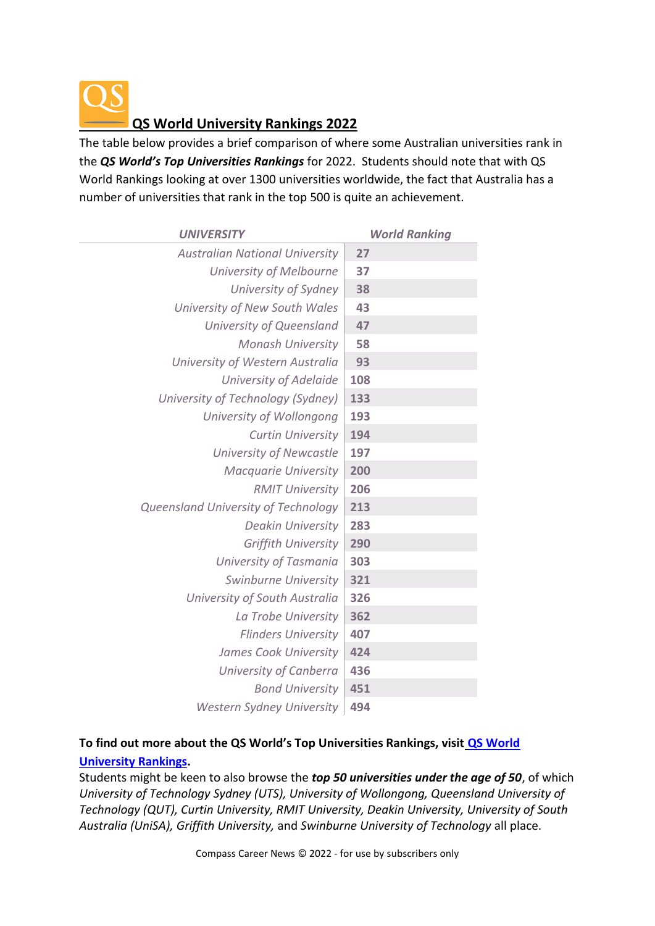

The table below provides a brief comparison of where some Australian universities rank in the *QS World's Top Universities Rankings* for 2022. Students should note that with QS World Rankings looking at over 1300 universities worldwide, the fact that Australia has a number of universities that rank in the top 500 is quite an achievement.

| <b>UNIVERSITY</b>                     | <b>World Ranking</b> |
|---------------------------------------|----------------------|
| <b>Australian National University</b> | 27                   |
| University of Melbourne               | 37                   |
| University of Sydney                  | 38                   |
| University of New South Wales         | 43                   |
| University of Queensland              | 47                   |
| <b>Monash University</b>              | 58                   |
| University of Western Australia       | 93                   |
| University of Adelaide                | 108                  |
| University of Technology (Sydney)     | 133                  |
| University of Wollongong              | 193                  |
| <b>Curtin University</b>              | 194                  |
| <b>University of Newcastle</b>        | 197                  |
| <b>Macquarie University</b>           | 200                  |
| <b>RMIT University</b>                | 206                  |
| Queensland University of Technology   | 213                  |
| <b>Deakin University</b>              | 283                  |
| <b>Griffith University</b>            | 290                  |
| University of Tasmania                | 303                  |
| Swinburne University                  | 321                  |
| University of South Australia         | 326                  |
| La Trobe University                   | 362                  |
| <b>Flinders University</b>            | 407                  |
| James Cook University                 | 424                  |
| University of Canberra                | 436                  |
| <b>Bond University</b>                | 451                  |
| <b>Western Sydney University</b>      | 494                  |

#### **To find out more about the QS World's Top Universities Rankings, visit [QS World](http://www.topuniversities.com/university-rankings/world-university-rankings)  [University Rankings.](http://www.topuniversities.com/university-rankings/world-university-rankings)**

Students might be keen to also browse the *top 50 universities under the age of 50*, of which *University of Technology Sydney (UTS), University of Wollongong, Queensland University of Technology (QUT), Curtin University, RMIT University, Deakin University, University of South Australia (UniSA), Griffith University,* and *Swinburne University of Technology* all place.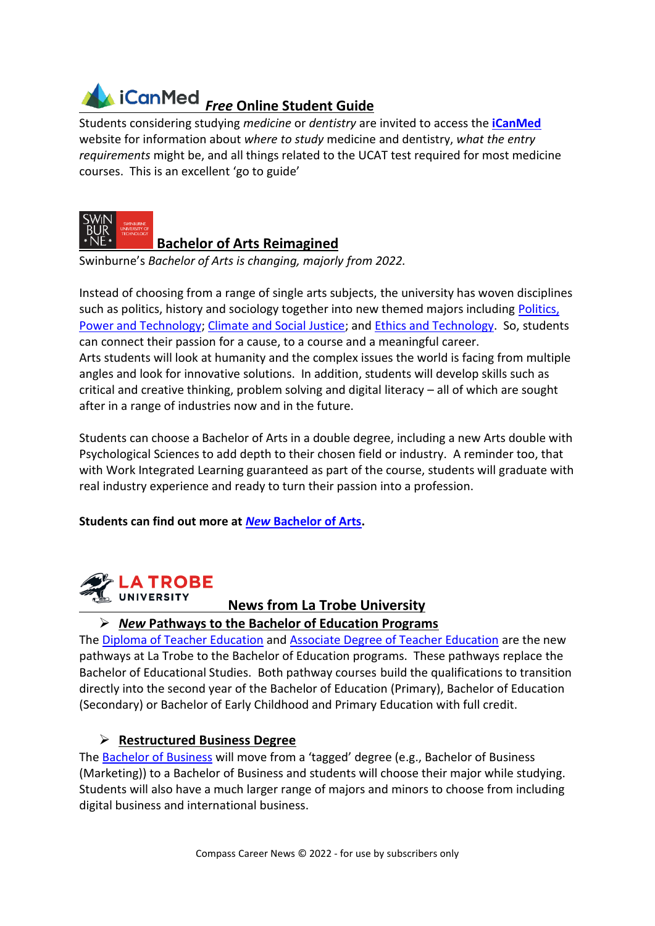

Students considering studying *medicine* or *dentistry* are invited to access the **[iCanMed](https://icanmed.com.au/ucat-guide/)** website for information about *where to study* medicine and dentistry, *what the entry requirements* might be, and all things related to the UCAT test required for most medicine courses. This is an excellent 'go to guide'



### **Bachelor of Arts Reimagined**

Swinburne's *Bachelor of Arts is changing, majorly from 2022.* 

Instead of choosing from a range of single arts subjects, the university has woven disciplines such as politics, history and sociology together into new themed majors including Politics, [Power and Technology;](https://t.mail.swinburne.edu.au/r/?id=h14f5384,49fccee,49fccf5&seid=em%7Ccpn%7Ccp%7Ccps%7Ccpoct21%7C1) [Climate and Social Justice;](https://t.mail.swinburne.edu.au/r/?id=h14f5384,49fccee,49fccf6&seid=em%7Ccpn%7Ccp%7Ccps%7Ccpoct21%7C1) and [Ethics and Technology.](https://t.mail.swinburne.edu.au/r/?id=h14f5384,49fccee,49fccf7&seid=em%7Ccpn%7Ccp%7Ccps%7Ccpoct21%7C1) So, students can connect their passion for a cause, to a course and a meaningful career. Arts students will look at humanity and the complex issues the world is facing from multiple angles and look for innovative solutions. In addition, students will develop skills such as critical and creative thinking, problem solving and digital literacy – all of which are sought after in a range of industries now and in the future.

Students can choose a Bachelor of Arts in a double degree, including a new Arts double with Psychological Sciences to add depth to their chosen field or industry. A reminder too, that with Work Integrated Learning guaranteed as part of the course, students will graduate with real industry experience and ready to turn their passion into a profession.

#### **Students can find out more at** *New* **[Bachelor of Arts.](https://www.swinburne.edu.au/courses/find-a-course/arts-humanities-social-sciences/)**



### **News from La Trobe University**

#### ➢ *New* **Pathways to the Bachelor of Education Programs**

The [Diploma of Teacher Education](https://www.latrobe.edu.au/courses/diploma-of-teacher-education) and [Associate Degree of Teacher Education](https://www.latrobe.edu.au/courses/associate-degree-of-teacher-education) are the new pathways at La Trobe to the Bachelor of Education programs. These pathways replace the Bachelor of Educational Studies. Both pathway courses build the qualifications to transition directly into the second year of the Bachelor of Education (Primary), Bachelor of Education (Secondary) or Bachelor of Early Childhood and Primary Education with full credit.

#### ➢ **Restructured Business Degree**

The [Bachelor of Business](https://www.latrobe.edu.au/courses/bachelor-of-business) will move from a 'tagged' degree (e.g., Bachelor of Business (Marketing)) to a Bachelor of Business and students will choose their major while studying. Students will also have a much larger range of majors and minors to choose from including digital business and international business.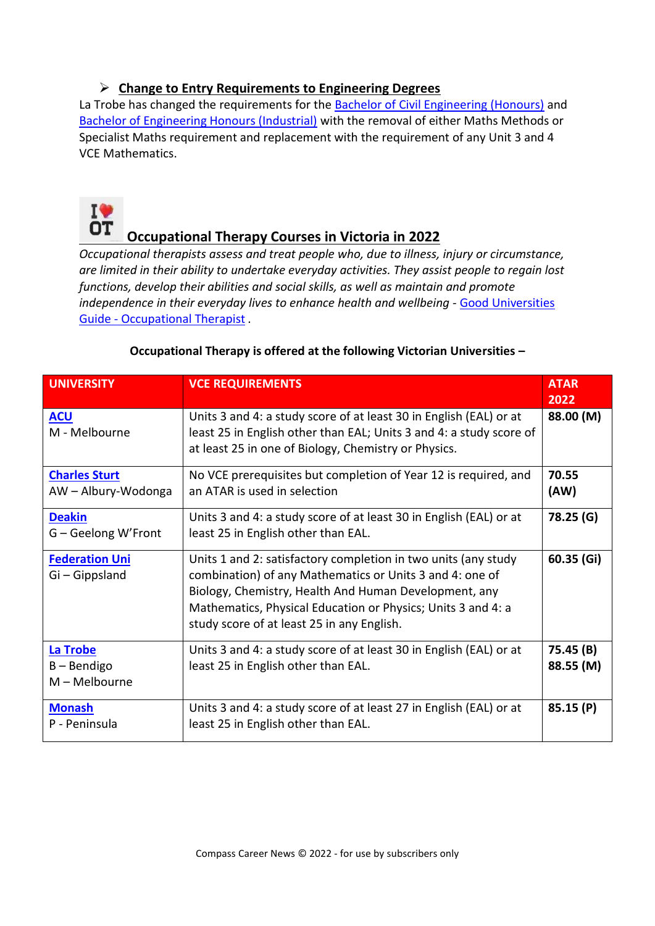#### ➢ **Change to Entry Requirements to Engineering Degrees**

La Trobe has changed the requirements for the [Bachelor of Civil Engineering \(Honours\)](https://www.latrobe.edu.au/courses/bachelor-of-civil-engineering-honours) and [Bachelor of Engineering Honours \(Industrial\)](https://www.latrobe.edu.au/courses/bachelor-of-engineering-honours-industrial) with the removal of either Maths Methods or Specialist Maths requirement and replacement with the requirement of any Unit 3 and 4 VCE Mathematics.



# **Occupational Therapy Courses in Victoria in 2022**

*Occupational therapists assess and treat people who, due to illness, injury or circumstance, are limited in their ability to undertake everyday activities. They assist people to regain lost functions, develop their abilities and social skills, as well as maintain and promote independence in their everyday lives to enhance health and wellbeing -* [Good Universities](https://www.gooduniversitiesguide.com.au/careers-guide/browse/occupational-therapist)  Guide - [Occupational Therapist](https://www.gooduniversitiesguide.com.au/careers-guide/browse/occupational-therapist) *.* 

| <b>UNIVERSITY</b>                            | <b>VCE REQUIREMENTS</b>                                                                                                                                                                                                                                                                           | <b>ATAR</b><br>2022    |
|----------------------------------------------|---------------------------------------------------------------------------------------------------------------------------------------------------------------------------------------------------------------------------------------------------------------------------------------------------|------------------------|
| <b>ACU</b><br>M - Melbourne                  | Units 3 and 4: a study score of at least 30 in English (EAL) or at<br>least 25 in English other than EAL; Units 3 and 4: a study score of<br>at least 25 in one of Biology, Chemistry or Physics.                                                                                                 | 88.00 (M)              |
| <b>Charles Sturt</b><br>AW - Albury-Wodonga  | No VCE prerequisites but completion of Year 12 is required, and<br>an ATAR is used in selection                                                                                                                                                                                                   | 70.55<br>(AW)          |
| <b>Deakin</b><br>G – Geelong W'Front         | Units 3 and 4: a study score of at least 30 in English (EAL) or at<br>least 25 in English other than EAL.                                                                                                                                                                                         | 78.25 (G)              |
| <b>Federation Uni</b><br>Gi – Gippsland      | Units 1 and 2: satisfactory completion in two units (any study<br>combination) of any Mathematics or Units 3 and 4: one of<br>Biology, Chemistry, Health And Human Development, any<br>Mathematics, Physical Education or Physics; Units 3 and 4: a<br>study score of at least 25 in any English. | 60.35 (Gi)             |
| La Trobe<br>$B -$ Bendigo<br>$M - Melbourne$ | Units 3 and 4: a study score of at least 30 in English (EAL) or at<br>least 25 in English other than EAL.                                                                                                                                                                                         | 75.45 (B)<br>88.55 (M) |
| <b>Monash</b><br>P - Peninsula               | Units 3 and 4: a study score of at least 27 in English (EAL) or at<br>least 25 in English other than EAL.                                                                                                                                                                                         | 85.15 (P)              |

#### **Occupational Therapy is offered at the following Victorian Universities –**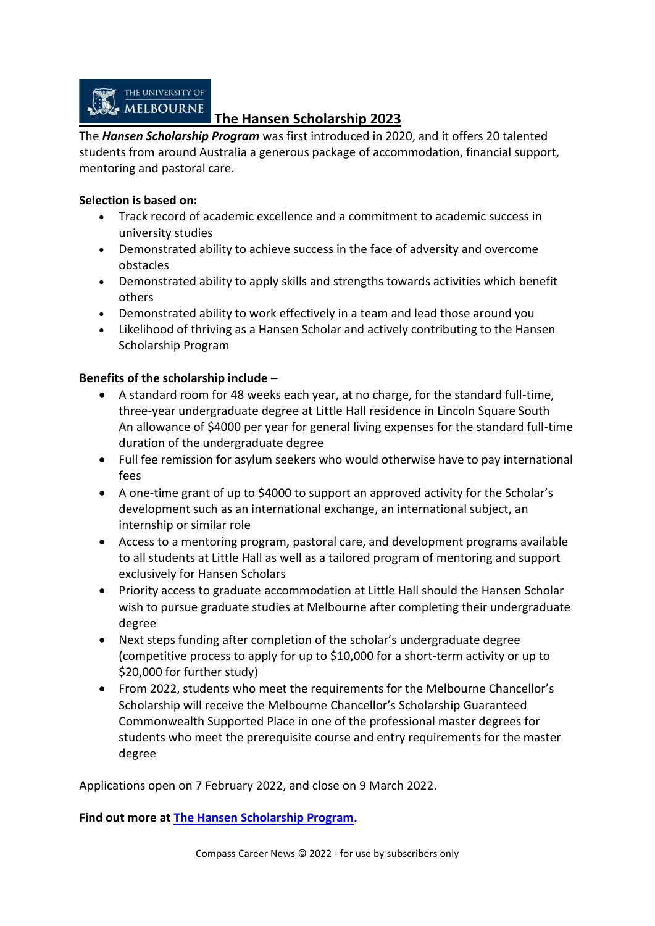

### **The Hansen Scholarship 2023**

The *Hansen Scholarship Program* was first introduced in 2020, and it offers 20 talented students from around Australia a generous package of accommodation, financial support, mentoring and pastoral care.

#### **Selection is based on:**

- Track record of academic excellence and a commitment to academic success in university studies
- Demonstrated ability to achieve success in the face of adversity and overcome obstacles
- Demonstrated ability to apply skills and strengths towards activities which benefit others
- Demonstrated ability to work effectively in a team and lead those around you
- Likelihood of thriving as a Hansen Scholar and actively contributing to the Hansen Scholarship Program

#### **Benefits of the scholarship include –**

- A standard room for 48 weeks each year, at no charge, for the standard full-time, three-year undergraduate degree at Little Hall residence in Lincoln Square South An allowance of \$4000 per year for general living expenses for the standard full-time duration of the undergraduate degree
- Full fee remission for asylum seekers who would otherwise have to pay international fees
- A one-time grant of up to \$4000 to support an approved activity for the Scholar's development such as an international exchange, an international subject, an internship or similar role
- Access to a mentoring program, pastoral care, and development programs available to all students at Little Hall as well as a tailored program of mentoring and support exclusively for Hansen Scholars
- Priority access to graduate accommodation at Little Hall should the Hansen Scholar wish to pursue graduate studies at Melbourne after completing their undergraduate degree
- Next steps funding after completion of the scholar's undergraduate degree (competitive process to apply for up to \$10,000 for a short-term activity or up to \$20,000 for further study)
- From 2022, students who meet the requirements for the Melbourne Chancellor's Scholarship will receive the Melbourne Chancellor's Scholarship Guaranteed Commonwealth Supported Place in one of the professional master degrees for students who meet the prerequisite course and entry requirements for the master degree

Applications open on 7 February 2022, and close on 9 March 2022.

**Find out more at [The Hansen Scholarship Program.](https://study.unimelb.edu.au/study-with-us/hansen-scholarship-program)**